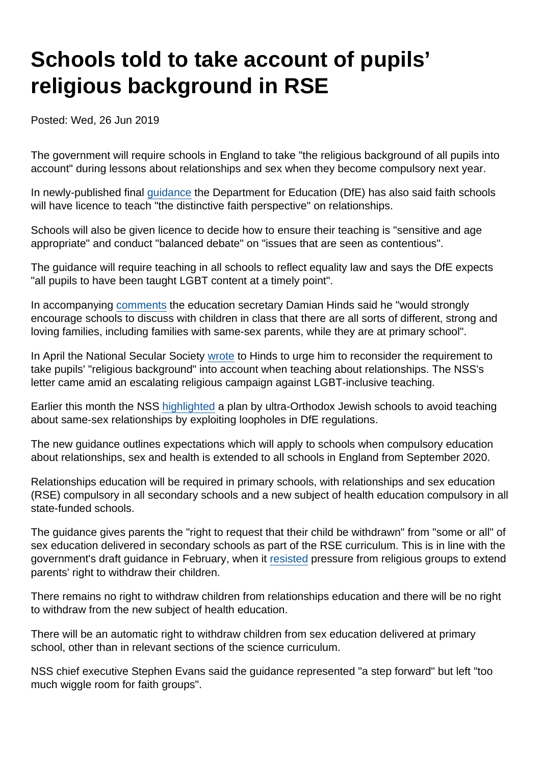## Schools told to take account of pupils' religious background in RSE

Posted: Wed, 26 Jun 2019

The government will require schools in England to take "the religious background of all pupils into account" during lessons about relationships and sex when they become compulsory next year.

In newly-published final [guidance](https://assets.publishing.service.gov.uk/government/uploads/system/uploads/attachment_data/file/805781/Relationships_Education__Relationships_and_Sex_Education__RSE__and_Health_Education.pdf) the Department for Education (DfE) has also said faith schools will have licence to teach "the distinctive faith perspective" on relationships.

Schools will also be given licence to decide how to ensure their teaching is "sensitive and age appropriate" and conduct "balanced debate" on "issues that are seen as contentious".

The guidance will require teaching in all schools to reflect equality law and says the DfE expects "all pupils to have been taught LGBT content at a timely point".

In accompanying [comments](https://www.gov.uk/government/news/positive-step-for-lgbt-inclusion-as-rshe-guidance-published) the education secretary Damian Hinds said he "would strongly encourage schools to discuss with children in class that there are all sorts of different, strong and loving families, including families with same-sex parents, while they are at primary school".

In April the National Secular Society [wrote](https://www.secularism.org.uk/news/2019/04/nss-urges-support-for-teachers-amid-anti-lgbt-protests-and-threats) to Hinds to urge him to reconsider the requirement to take pupils' "religious background" into account when teaching about relationships. The NSS's letter came amid an escalating religious campaign against LGBT-inclusive teaching.

Earlier this month the NSS [highlighted](https://www.secularism.org.uk/news/2019/06/exposed-orthodox-jewish-schools-plan-to-escape-lgbt-inclusive-rse) a plan by ultra-Orthodox Jewish schools to avoid teaching about same-sex relationships by exploiting loopholes in DfE regulations.

The new guidance outlines expectations which will apply to schools when compulsory education about relationships, sex and health is extended to all schools in England from September 2020.

Relationships education will be required in primary schools, with relationships and sex education (RSE) compulsory in all secondary schools and a new subject of health education compulsory in all state-funded schools.

The guidance gives parents the "right to request that their child be withdrawn" from "some or all" of sex education delivered in secondary schools as part of the RSE curriculum. This is in line with the government's draft guidance in February, when it [resisted](https://www.secularism.org.uk/news/2019/02/nss-welcomes-updated-guidance-on-relationships-and-sex-education) pressure from religious groups to extend parents' right to withdraw their children.

There remains no right to withdraw children from relationships education and there will be no right to withdraw from the new subject of health education.

There will be an automatic right to withdraw children from sex education delivered at primary school, other than in relevant sections of the science curriculum.

NSS chief executive Stephen Evans said the guidance represented "a step forward" but left "too much wiggle room for faith groups".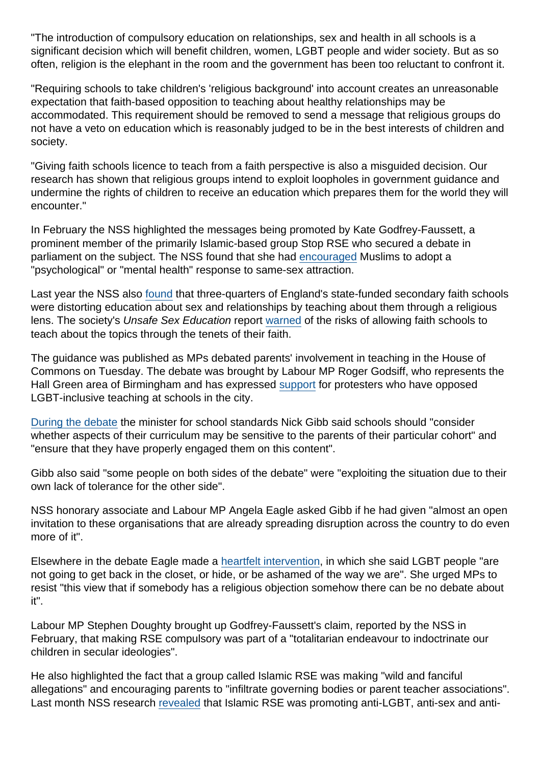"The introduction of compulsory education on relationships, sex and health in all schools is a significant decision which will benefit children, women, LGBT people and wider society. But as so often, religion is the elephant in the room and the government has been too reluctant to confront it.

"Requiring schools to take children's 'religious background' into account creates an unreasonable expectation that faith-based opposition to teaching about healthy relationships may be accommodated. This requirement should be removed to send a message that religious groups do not have a veto on education which is reasonably judged to be in the best interests of children and society.

"Giving faith schools licence to teach from a faith perspective is also a misguided decision. Our research has shown that religious groups intend to exploit loopholes in government guidance and undermine the rights of children to receive an education which prepares them for the world they will encounter."

In February the NSS highlighted the messages being promoted by Kate Godfrey-Faussett, a prominent member of the primarily Islamic-based group Stop RSE who secured a debate in parliament on the subject. The NSS found that she had [encouraged](https://www.secularism.org.uk/news/2019/02/nss-dfe-must-stand-up-to-religiousbullying-oversex-education) Muslims to adopt a "psychological" or "mental health" response to same-sex attraction.

Last year the NSS also [found](https://www.secularism.org.uk/news/2018/05/most-faith-schools-distorting-sex-education-nss-study-finds) that three-quarters of England's state-funded secondary faith schools were distorting education about sex and relationships by teaching about them through a religious lens. The society's Unsafe Sex Education report [warned](https://www.secularism.org.uk/news/2018/05/most-faith-schools-distorting-sex-education-nss-study-finds) of the risks of allowing faith schools to teach about the topics through the tenets of their faith.

The guidance was published as MPs debated parents' involvement in teaching in the House of Commons on Tuesday. The debate was brought by Labour MP Roger Godsiff, who represents the Hall Green area of Birmingham and has expressed [support](https://www.birminghammail.co.uk/news/midlands-news/mp-roger-godsiff-no-apology-16425523) for protesters who have opposed LGBT-inclusive teaching at schools in the city.

[During the debate](https://hansard.parliament.uk/commons/2019-06-25/debates/8F61FF43-BA5E-401D-A3AD-3B742236F757/ParentalInvolvementInTeachingEqualityAct) the minister for school standards Nick Gibb said schools should "consider whether aspects of their curriculum may be sensitive to the parents of their particular cohort" and "ensure that they have properly engaged them on this content".

Gibb also said "some people on both sides of the debate" were "exploiting the situation due to their own lack of tolerance for the other side".

NSS honorary associate and Labour MP Angela Eagle asked Gibb if he had given "almost an open invitation to these organisations that are already spreading disruption across the country to do even more of it".

Elsewhere in the debate Eagle made a [heartfelt intervention](https://twitter.com/NatSecSoc/status/1143565657008685057), in which she said LGBT people "are not going to get back in the closet, or hide, or be ashamed of the way we are". She urged MPs to resist "this view that if somebody has a religious objection somehow there can be no debate about it".

Labour MP Stephen Doughty brought up Godfrey-Faussett's claim, reported by the NSS in February, that making RSE compulsory was part of a "totalitarian endeavour to indoctrinate our children in secular ideologies".

He also highlighted the fact that a group called Islamic RSE was making "wild and fanciful allegations" and encouraging parents to "infiltrate governing bodies or parent teacher associations". Last month NSS research [revealed](https://www.secularism.org.uk/news/2019/05/nss-warns-of-growing-threat-from-religious-anti-rse-campaigners) that Islamic RSE was promoting anti-LGBT, anti-sex and anti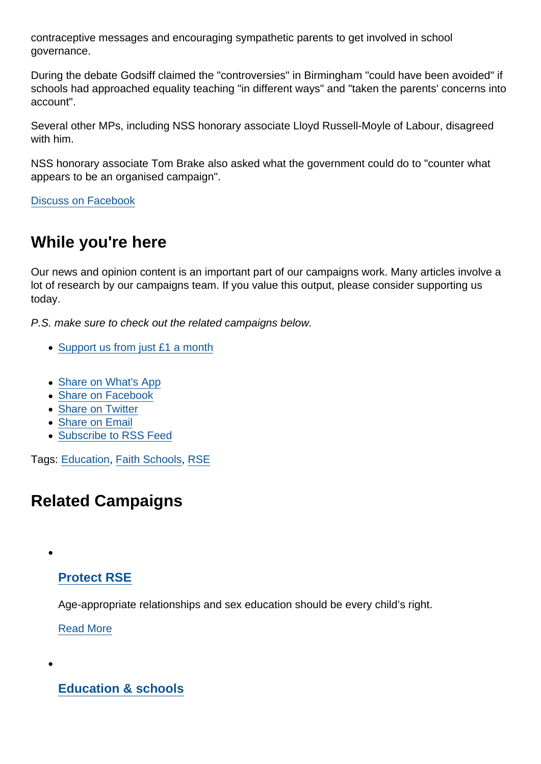contraceptive messages and encouraging sympathetic parents to get involved in school governance.

During the debate Godsiff claimed the "controversies" in Birmingham "could have been avoided" if schools had approached equality teaching "in different ways" and "taken the parents' concerns into account".

Several other MPs, including NSS honorary associate Lloyd Russell-Moyle of Labour, disagreed with him.

NSS honorary associate Tom Brake also asked what the government could do to "counter what appears to be an organised campaign".

[Discuss on Facebook](https://www.facebook.com/NationalSecularSociety/posts/2319891318079206?__xts__[0]=68.ARCYMr3yvdnMb_YT16KXuIMwk_7rAFluRIm5C1Fpq6jPjOphJ7g2q1ZPAQVDGbG-3MVviE5TRnRSXXG2RXs88Fph9XkgZ4PGVGkpN9vOMgiWBi7L5mTMxnNBbPdTqZfuxDB4AHxdtFF2zSpbrdDUf24-JUawRkTbUMw17dFReCwVoGFcYJq6tcPsYvsM7HkluhHC16B1n2LTir6JZ1ICnHZs1EF9pZeNZ4dLQhzANXZfjEP2Va5GLiTkFqhwDzgdZGwak4X2O5xq_JJKgghLrJXwfuz_Bt6VJ7R5M2QBKkme8w0v2DMhWB5mbHxIv5j_B-PAoKIIIQecIwBbyyi2TM4N5g&__tn__=-R)

## While you're here

Our news and opinion content is an important part of our campaigns work. Many articles involve a lot of research by our campaigns team. If you value this output, please consider supporting us today.

P.S. make sure to check out the related campaigns below.

- [Support us from just £1 a month](https://www.secularism.org.uk/donate.html)
- [Share on What's App](whatsapp://send?text=http://www.secularism.org.uk/news/2019/06/schools-told-to-take-account-of-pupils-religious-background-in-rse?format=pdf)
- [Share on Facebook](https://www.facebook.com/sharer/sharer.php?u=http://www.secularism.org.uk/news/2019/06/schools-told-to-take-account-of-pupils-religious-background-in-rse?format=pdf&t=Schools+told+to+take+account+of+pupils’+religious+background+in+RSE)
- [Share on Twitter](https://twitter.com/intent/tweet?url=http://www.secularism.org.uk/news/2019/06/schools-told-to-take-account-of-pupils-religious-background-in-rse?format=pdf&text=Schools+told+to+take+account+of+pupils’+religious+background+in+RSE&via=NatSecSoc)
- [Share on Email](https://www.secularism.org.uk/share.html?url=http://www.secularism.org.uk/news/2019/06/schools-told-to-take-account-of-pupils-religious-background-in-rse?format=pdf&title=Schools+told+to+take+account+of+pupils’+religious+background+in+RSE)
- [Subscribe to RSS Feed](/mnt/web-data/www/cp-nss/feeds/rss/news)

Tags: [Education,](https://www.secularism.org.uk/news/tags/Education) [Faith Schools](https://www.secularism.org.uk/news/tags/Faith+Schools), [RSE](https://www.secularism.org.uk/news/tags/RSE)

## Related Campaigns

[Protect RSE](https://www.secularism.org.uk/sex-education/)

Age-appropriate relationships and sex education should be every child's right.

[Read More](https://www.secularism.org.uk/sex-education/)

[Education & schools](https://www.secularism.org.uk/education/)